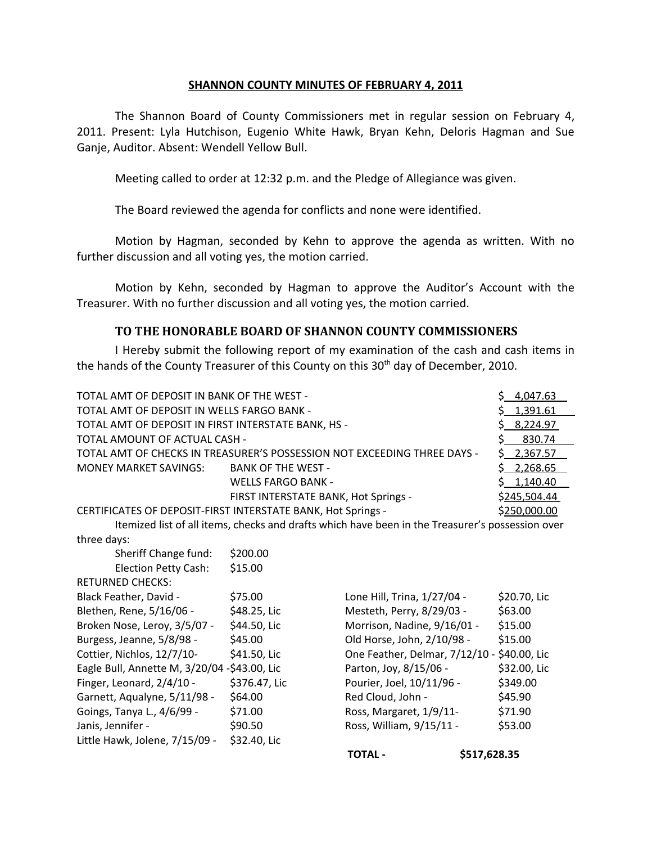## **SHANNON COUNTY MINUTES OF FEBRUARY 4, 2011**

The Shannon Board of County Commissioners met in regular session on February 4, 2011. Present: Lyla Hutchison, Eugenio White Hawk, Bryan Kehn, Deloris Hagman and Sue Ganje, Auditor. Absent: Wendell Yellow Bull.

Meeting called to order at 12:32 p.m. and the Pledge of Allegiance was given.

The Board reviewed the agenda for conflicts and none were identified.

Motion by Hagman, seconded by Kehn to approve the agenda as written. With no further discussion and all voting yes, the motion carried.

Motion by Kehn, seconded by Hagman to approve the Auditor's Account with the Treasurer. With no further discussion and all voting yes, the motion carried.

## **TO THE HONORABLE BOARD OF SHANNON COUNTY COMMISSIONERS**

I Hereby submit the following report of my examination of the cash and cash items in the hands of the County Treasurer of this County on this 30<sup>th</sup> day of December, 2010.

| TOTAL AMT OF DEPOSIT IN BANK OF THE WEST -                               | \$4,047.63                           |              |
|--------------------------------------------------------------------------|--------------------------------------|--------------|
| TOTAL AMT OF DEPOSIT IN WELLS FARGO BANK -                               | \$1,391.61                           |              |
| TOTAL AMT OF DEPOSIT IN FIRST INTERSTATE BANK, HS -                      | \$8,224.97                           |              |
| TOTAL AMOUNT OF ACTUAL CASH -                                            | \$830.74                             |              |
| TOTAL AMT OF CHECKS IN TREASURER'S POSSESSION NOT EXCEEDING THREE DAYS - | \$2,367.57                           |              |
| MONEY MARKET SAVINGS:                                                    | \$2,268.65                           |              |
|                                                                          | <b>WELLS FARGO BANK -</b>            | \$1,140.40   |
|                                                                          | FIRST INTERSTATE BANK, Hot Springs - | \$245,504.44 |
| CERTIFICATES OF DEPOSIT-FIRST INTERSTATE BANK, Hot Springs -             | \$250,000.00                         |              |

Itemized list of all items, checks and drafts which have been in the Treasurer's possession over three days:

| Sheriff Change fund:                         | \$200.00      |                                             |              |
|----------------------------------------------|---------------|---------------------------------------------|--------------|
| <b>Election Petty Cash:</b>                  | \$15.00       |                                             |              |
| <b>RETURNED CHECKS:</b>                      |               |                                             |              |
| Black Feather, David -                       | \$75.00       | Lone Hill, Trina, 1/27/04 -                 | \$20.70, Lic |
| Blethen, Rene, 5/16/06 -                     | \$48.25, Lic  | Mesteth, Perry, 8/29/03 -                   | \$63.00      |
| Broken Nose, Leroy, 3/5/07 -                 | \$44.50, Lic  | Morrison, Nadine, 9/16/01 -                 | \$15.00      |
| Burgess, Jeanne, 5/8/98 -                    | \$45.00       | Old Horse, John, 2/10/98 -                  | \$15.00      |
| Cottier, Nichlos, 12/7/10-                   | \$41.50, Lic  | One Feather, Delmar, 7/12/10 - \$40.00, Lic |              |
| Eagle Bull, Annette M, 3/20/04 -\$43.00, Lic |               | Parton, Joy, 8/15/06 -                      | \$32.00, Lic |
| Finger, Leonard, 2/4/10 -                    | \$376.47, Lic | Pourier, Joel, 10/11/96 -                   | \$349.00     |
| Garnett, Aqualyne, 5/11/98 -                 | \$64.00       | Red Cloud, John -                           | \$45.90      |
| Goings, Tanya L., 4/6/99 -                   | \$71.00       | Ross, Margaret, 1/9/11-                     | \$71.90      |
| Janis, Jennifer -                            | \$90.50       | Ross, William, 9/15/11 -                    | \$53.00      |
| Little Hawk, Jolene, 7/15/09 -               | \$32.40, Lic  |                                             |              |
|                                              |               |                                             |              |

| Lone Hill, Trina, 1/27/04 -                 | \$20.70, Lic |
|---------------------------------------------|--------------|
| Mesteth, Perry, 8/29/03 -                   | \$63.00      |
| Morrison, Nadine, 9/16/01 -                 | \$15.00      |
| Old Horse, John, 2/10/98 -                  | \$15.00      |
| One Feather, Delmar, 7/12/10 - \$40.00, Lic |              |
| Parton, Joy, 8/15/06 -                      | \$32.00, Lic |
| Pourier, Joel, 10/11/96 -                   | \$349.00     |
| Red Cloud, John -                           | \$45.90      |
| Ross, Margaret, 1/9/11-                     | \$71.90      |
| Ross, William, 9/15/11 -                    | \$53.00      |
|                                             |              |

**TOTAL - \$517,628.35**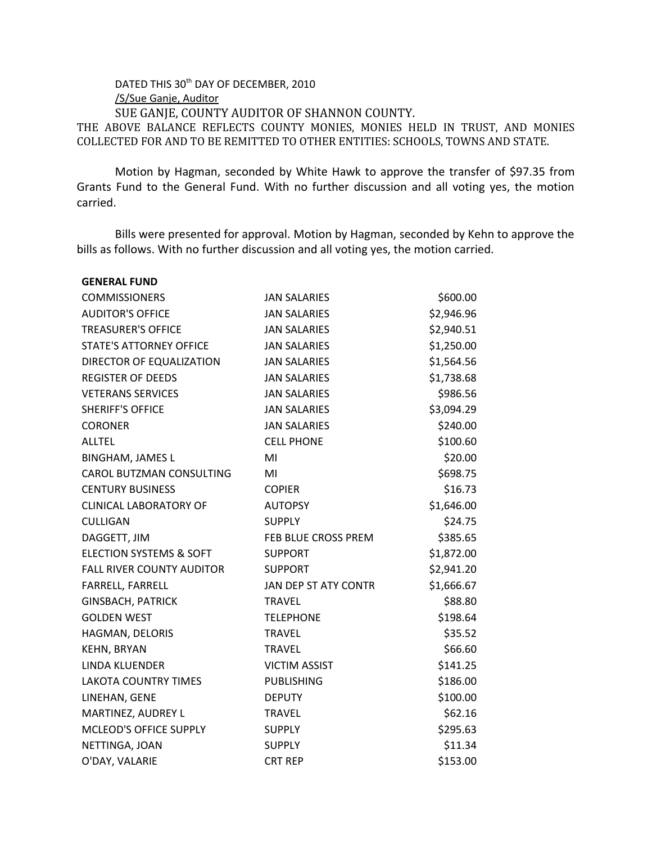DATED THIS 30<sup>th</sup> DAY OF DECEMBER, 2010 /S/Sue Ganje, Auditor SUE GANJE, COUNTY AUDITOR OF SHANNON COUNTY. THE ABOVE BALANCE REFLECTS COUNTY MONIES, MONIES HELD IN TRUST, AND MONIES COLLECTED FOR AND TO BE REMITTED TO OTHER ENTITIES: SCHOOLS, TOWNS AND STATE.

Motion by Hagman, seconded by White Hawk to approve the transfer of \$97.35 from Grants Fund to the General Fund. With no further discussion and all voting yes, the motion carried.

Bills were presented for approval. Motion by Hagman, seconded by Kehn to approve the bills as follows. With no further discussion and all voting yes, the motion carried.

| <b>GENERAL FUND</b>                |                      |            |
|------------------------------------|----------------------|------------|
| <b>COMMISSIONERS</b>               | <b>JAN SALARIES</b>  | \$600.00   |
| <b>AUDITOR'S OFFICE</b>            | <b>JAN SALARIES</b>  | \$2,946.96 |
| <b>TREASURER'S OFFICE</b>          | <b>JAN SALARIES</b>  | \$2,940.51 |
| <b>STATE'S ATTORNEY OFFICE</b>     | <b>JAN SALARIES</b>  | \$1,250.00 |
| DIRECTOR OF EQUALIZATION           | <b>JAN SALARIES</b>  | \$1,564.56 |
| <b>REGISTER OF DEEDS</b>           | <b>JAN SALARIES</b>  | \$1,738.68 |
| <b>VETERANS SERVICES</b>           | <b>JAN SALARIES</b>  | \$986.56   |
| <b>SHERIFF'S OFFICE</b>            | <b>JAN SALARIES</b>  | \$3,094.29 |
| <b>CORONER</b>                     | <b>JAN SALARIES</b>  | \$240.00   |
| <b>ALLTEL</b>                      | <b>CELL PHONE</b>    | \$100.60   |
| <b>BINGHAM, JAMES L</b>            | MI                   | \$20.00    |
| CAROL BUTZMAN CONSULTING           | MI                   | \$698.75   |
| <b>CENTURY BUSINESS</b>            | <b>COPIER</b>        | \$16.73    |
| <b>CLINICAL LABORATORY OF</b>      | <b>AUTOPSY</b>       | \$1,646.00 |
| <b>CULLIGAN</b>                    | <b>SUPPLY</b>        | \$24.75    |
| DAGGETT, JIM                       | FEB BLUE CROSS PREM  | \$385.65   |
| <b>ELECTION SYSTEMS &amp; SOFT</b> | <b>SUPPORT</b>       | \$1,872.00 |
| <b>FALL RIVER COUNTY AUDITOR</b>   | <b>SUPPORT</b>       | \$2,941.20 |
| FARRELL, FARRELL                   | JAN DEP ST ATY CONTR | \$1,666.67 |
| <b>GINSBACH, PATRICK</b>           | <b>TRAVEL</b>        | \$88.80    |
| <b>GOLDEN WEST</b>                 | <b>TELEPHONE</b>     | \$198.64   |
| HAGMAN, DELORIS                    | <b>TRAVEL</b>        | \$35.52    |
| <b>KEHN, BRYAN</b>                 | <b>TRAVEL</b>        | \$66.60    |
| LINDA KLUENDER                     | <b>VICTIM ASSIST</b> | \$141.25   |
| <b>LAKOTA COUNTRY TIMES</b>        | <b>PUBLISHING</b>    | \$186.00   |
| LINEHAN, GENE                      | <b>DEPUTY</b>        | \$100.00   |
| MARTINEZ, AUDREY L                 | <b>TRAVEL</b>        | \$62.16    |
| MCLEOD'S OFFICE SUPPLY             | <b>SUPPLY</b>        | \$295.63   |
| NETTINGA, JOAN                     | <b>SUPPLY</b>        | \$11.34    |
| O'DAY, VALARIE                     | <b>CRT REP</b>       | \$153.00   |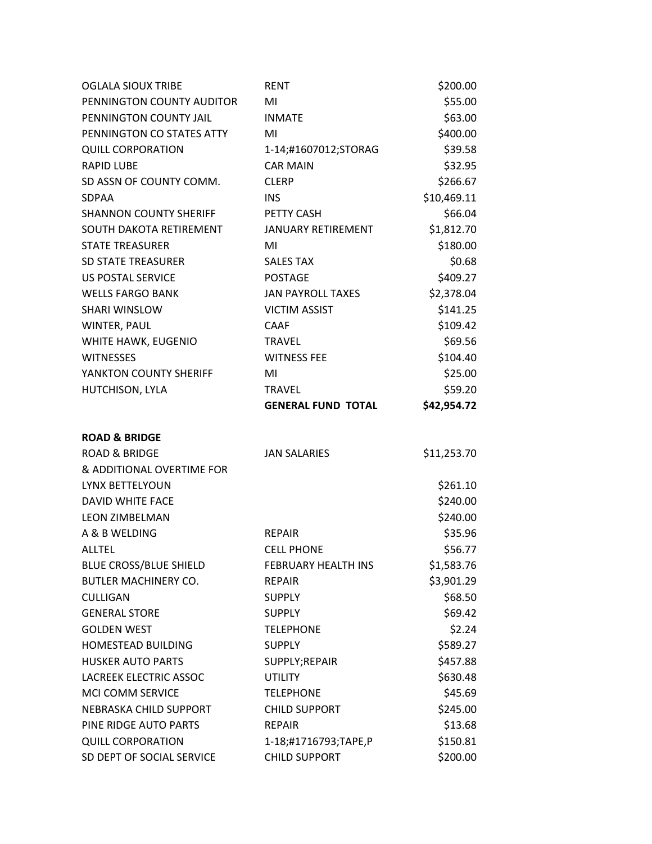| <b>OGLALA SIOUX TRIBE</b>     | <b>RENT</b>                | \$200.00    |
|-------------------------------|----------------------------|-------------|
| PENNINGTON COUNTY AUDITOR     | MI                         | \$55.00     |
| PENNINGTON COUNTY JAIL        | <b>INMATE</b>              | \$63.00     |
| PENNINGTON CO STATES ATTY     | MI                         | \$400.00    |
| <b>QUILL CORPORATION</b>      | 1-14;#1607012;STORAG       | \$39.58     |
| <b>RAPID LUBE</b>             | <b>CAR MAIN</b>            | \$32.95     |
| SD ASSN OF COUNTY COMM.       | <b>CLERP</b>               | \$266.67    |
| <b>SDPAA</b>                  | <b>INS</b>                 | \$10,469.11 |
| <b>SHANNON COUNTY SHERIFF</b> | PETTY CASH                 | \$66.04     |
| SOUTH DAKOTA RETIREMENT       | <b>JANUARY RETIREMENT</b>  | \$1,812.70  |
| <b>STATE TREASURER</b>        | MI                         | \$180.00    |
| <b>SD STATE TREASURER</b>     | <b>SALES TAX</b>           | \$0.68      |
| <b>US POSTAL SERVICE</b>      | <b>POSTAGE</b>             | \$409.27    |
| <b>WELLS FARGO BANK</b>       | <b>JAN PAYROLL TAXES</b>   | \$2,378.04  |
| <b>SHARI WINSLOW</b>          | <b>VICTIM ASSIST</b>       | \$141.25    |
| WINTER, PAUL                  | <b>CAAF</b>                | \$109.42    |
| WHITE HAWK, EUGENIO           | <b>TRAVEL</b>              | \$69.56     |
| <b>WITNESSES</b>              | <b>WITNESS FEE</b>         | \$104.40    |
| YANKTON COUNTY SHERIFF        | MI                         | \$25.00     |
| HUTCHISON, LYLA               | <b>TRAVEL</b>              | \$59.20     |
|                               | <b>GENERAL FUND TOTAL</b>  | \$42,954.72 |
| <b>ROAD &amp; BRIDGE</b>      |                            |             |
| <b>ROAD &amp; BRIDGE</b>      | <b>JAN SALARIES</b>        | \$11,253.70 |
| & ADDITIONAL OVERTIME FOR     |                            |             |
| LYNX BETTELYOUN               |                            | \$261.10    |
| DAVID WHITE FACE              |                            | \$240.00    |
| <b>LEON ZIMBELMAN</b>         |                            | \$240.00    |
| A & B WELDING                 | <b>REPAIR</b>              | \$35.96     |
| <b>ALLTEL</b>                 | <b>CELL PHONE</b>          | \$56.77     |
| <b>BLUE CROSS/BLUE SHIELD</b> | <b>FEBRUARY HEALTH INS</b> | \$1,583.76  |
| <b>BUTLER MACHINERY CO.</b>   | <b>REPAIR</b>              | \$3,901.29  |
| <b>CULLIGAN</b>               | <b>SUPPLY</b>              | \$68.50     |
| <b>GENERAL STORE</b>          | <b>SUPPLY</b>              | \$69.42     |
| <b>GOLDEN WEST</b>            | <b>TELEPHONE</b>           | \$2.24      |
| HOMESTEAD BUILDING            | <b>SUPPLY</b>              | \$589.27    |
| <b>HUSKER AUTO PARTS</b>      | SUPPLY;REPAIR              | \$457.88    |
| <b>LACREEK ELECTRIC ASSOC</b> | <b>UTILITY</b>             | \$630.48    |
| MCI COMM SERVICE              | <b>TELEPHONE</b>           | \$45.69     |
| NEBRASKA CHILD SUPPORT        | <b>CHILD SUPPORT</b>       | \$245.00    |
| PINE RIDGE AUTO PARTS         | <b>REPAIR</b>              | \$13.68     |
| <b>QUILL CORPORATION</b>      | 1-18;#1716793;TAPE,P       | \$150.81    |
| SD DEPT OF SOCIAL SERVICE     | <b>CHILD SUPPORT</b>       | \$200.00    |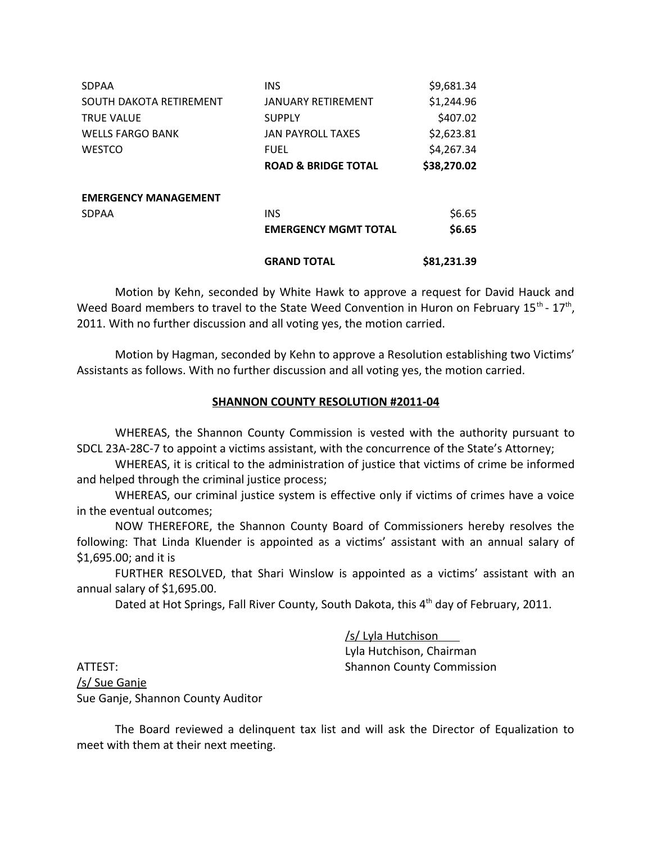| <b>SDPAA</b>                | <b>INS</b>                     | \$9,681.34  |
|-----------------------------|--------------------------------|-------------|
| SOUTH DAKOTA RETIREMENT     | <b>JANUARY RETIREMENT</b>      | \$1,244.96  |
| <b>TRUE VALUE</b>           | <b>SUPPLY</b>                  | \$407.02    |
| <b>WELLS FARGO BANK</b>     | <b>JAN PAYROLL TAXES</b>       | \$2,623.81  |
| <b>WESTCO</b>               | <b>FUEL</b>                    | \$4,267.34  |
|                             | <b>ROAD &amp; BRIDGE TOTAL</b> | \$38,270.02 |
| <b>EMERGENCY MANAGEMENT</b> |                                |             |
| <b>SDPAA</b>                | <b>INS</b>                     | \$6.65      |
|                             | <b>EMERGENCY MGMT TOTAL</b>    | \$6.65      |
|                             | <b>GRAND TOTAL</b>             | \$81,231.39 |

Motion by Kehn, seconded by White Hawk to approve a request for David Hauck and Weed Board members to travel to the State Weed Convention in Huron on February 15<sup>th</sup> - 17<sup>th</sup>, 2011. With no further discussion and all voting yes, the motion carried.

Motion by Hagman, seconded by Kehn to approve a Resolution establishing two Victims' Assistants as follows. With no further discussion and all voting yes, the motion carried.

## **SHANNON COUNTY RESOLUTION #2011-04**

WHEREAS, the Shannon County Commission is vested with the authority pursuant to SDCL 23A-28C-7 to appoint a victims assistant, with the concurrence of the State's Attorney;

WHEREAS, it is critical to the administration of justice that victims of crime be informed and helped through the criminal justice process;

WHEREAS, our criminal justice system is effective only if victims of crimes have a voice in the eventual outcomes;

NOW THEREFORE, the Shannon County Board of Commissioners hereby resolves the following: That Linda Kluender is appointed as a victims' assistant with an annual salary of \$1,695.00; and it is

FURTHER RESOLVED, that Shari Winslow is appointed as a victims' assistant with an annual salary of \$1,695.00.

Dated at Hot Springs, Fall River County, South Dakota, this 4<sup>th</sup> day of February, 2011.

 /s/ Lyla Hutchison Lyla Hutchison, Chairman

ATTEST: Shannon County Commission /s/ Sue Ganje Sue Ganje, Shannon County Auditor

The Board reviewed a delinquent tax list and will ask the Director of Equalization to meet with them at their next meeting.